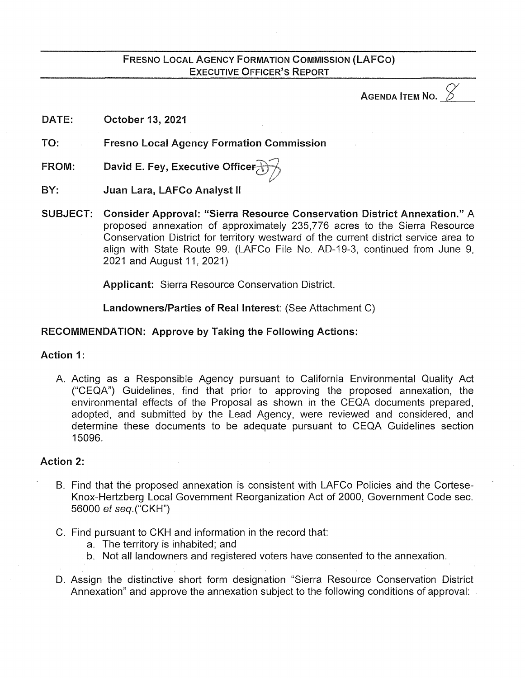# FRESNO LOCAL AGENCY FORMATION COMMISSION (LAFCO) EXECUTIVE OFFICER'S REPORT

AGENDA **ITEM** NO.

DATE: October 13, 2021

TO: Fresno Local Agency Formation Commission

- FROM: David E. Fey, Executive Officer
- BY: Juan Lara, LAFCo Analyst II
- SUBJECT: Consider Approval: "Sierra Resource Conservation District Annexation." A proposed annexation of approximately 235, 776 acres to the Sierra Resource Conservation District for territory westward of the current district service area to align with State Route 99. (LAFCo File No. AD-19-3, continued from June 9, 2021 and August 11, 2021)

Applicant: Sierra Resource Conservation District.

Landowners/Parties of Real Interest: (See Attachment C)

## RECOMMENDATION: Approve by Taking the Following Actions:

### Action 1:

A. Acting as a Responsible Agency pursuant to California Environmental Quality Act ("CEQA") Guidelines, find that prior to approving the proposed annexation, the environmental effects of the Proposal as shown in the CEQA documents prepared, adopted, and submitted by the Lead Agency, were reviewed and considered, and determine these documents to be adequate pursuant to CEQA Guidelines section 15096.

## Action 2:

- B. Find that the proposed annexation is consistent with LAFCo Policies and the Cortese-Knox-Hertzberg Local Government Reorganization Act of 2000, Government Code sec. 56000 et seq.("CKH")
- C. Find pursuant to CKH and information in the record that:
	- a. The territory is inhabited; and
	- b. Not all landowners and registered voters have consented to the annexation.
- D. Assign the distinctive short form designation "Sierra Resource Conservation District Annexation" and approve the annexation subject to the following conditions of approval: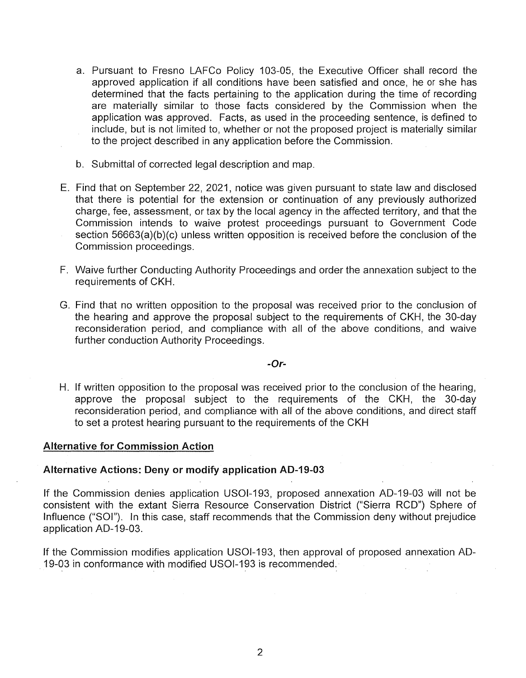- a. Pursuant to Fresno LAFCo Policy 103-05, the Executive Officer shall record the approved application if all conditions have been satisfied and once, he or she has determined that the facts pertaining to the application during the time of recording are materially similar to those facts considered by the Commission when the application was approved. Facts, as used in the proceeding sentence, is defined to include, but is not limited to, whether or not the proposed project is materially similar to the project described in any application before the Commission.
- b. Submittal of corrected legal description and map.
- E. Find that on September 22, 2021, notice was given pursuant to state law and disclosed that there is potential for the extension or continuation of any previously authorized charge, fee, assessment, or tax by the local agency in the affected territory, and that the Commission intends to waive protest proceedings pursuant to Government Code section 56663(a)(b)(c) unless written opposition is received before the conclusion of the Commission proceedings.
- F. Waive further Conducting Authority Proceedings and order the annexation subject to the requirements of CKH.
- G. Find that no written opposition to the proposal was received prior to the conclusion of the hearing and approve the proposal subject to the requirements of CKH, the 30-day reconsideration period, and compliance with all of the above conditions, and waive further conduction Authority Proceedings.

#### **-Or-**

H. If written opposition to the proposal was received prior to the conclusion of the hearing, approve the proposal subject to the requirements of the CKH, the 30-day reconsideration period, and compliance with all of the above conditions, and direct staff to set a protest hearing pursuant to the requirements of the CKH

#### **Alternative for Commission Action**

#### **Alternative Actions: Deny or modify application AD-19-03**

If the Commission denies application USOl-193, proposed annexation AD-19-03 will not be consistent with the extant Sierra Resource Conservation District ("Sierra RCD") Sphere of Influence ("SOI"). In this case, staff recommends that the Commission deny without prejudice application AD-19-03.

If the Commission modifies application USOl-193, then approval of proposed annexation AD-19-03 in conformance with modified USOl-193 is recommended.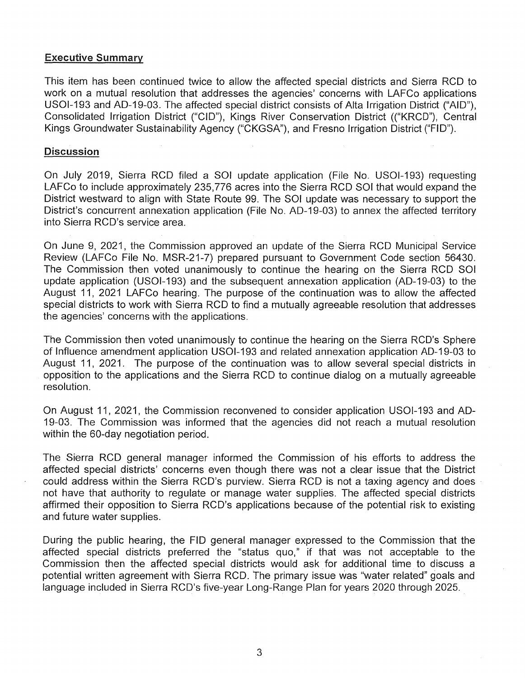### Executive Summary

This item has been continued twice to allow the affected special districts and Sierra RCD to work on a mutual resolution that addresses the agencies' concerns with LAFCo applications USOl-193 and AD-19-03. The affected special district consists of Alta Irrigation District ("AID"), Consolidated Irrigation District ("CID"), Kings River Conservation District (("KRCD"), Central Kings Groundwater Sustainability Agency ("CKGSA"), and Fresno Irrigation District ("FID").

### **Discussion**

On July 2019, Sierra RCD filed a SOI update application (File No. USOl-193) requesting LAFCo to include approximately 235, 776 acres into the Sierra RCD SOI that would expand the District westward to align with State Route 99. The SOI update was necessary to support the District's concurrent annexation application (File No. AD-19-03) to annex the affected territory into Sierra RCD's service area.

On June 9, 2021, the Commission approved an update of the Sierra RCD Municipal Service Review (LAFCo File No. MSR-21-7) prepared pursuant to Government Code section 56430. The Commission then voted unanimously to continue the hearing on the Sierra RCD SOI update application (USOl-193) and the subsequent annexation application (AD-19-03) to the August 11, 2021 LAFCo hearing. The purpose of the continuation was to allow the affected special districts to work with Sierra RCD to find a mutually agreeable resolution that addresses the agencies' concerns with the applications.

The Commission then voted unanimously to continue the hearing on the Sierra RCD's Sphere of Influence amendment application USOl-193 and related annexation application AD-19-03 to August 11, 2021. The purpose of the continuation was to allow several special districts in opposition to the applications and the Sierra RCD to continue dialog on a mutually agreeable resolution.

On August 11, 2021, the Commission reconvened to consider application USOl-193 and AD-19-03. The Commission was informed that the agencies did not reach a mutual resolution within the 60-day negotiation period.

The Sierra RCD general manager informed the Commission of his efforts to address the affected special districts' concerns even though there was not a clear issue that the District could address within the Sierra RCD's purview. Sierra RCD is not a taxing agency and does · not have that authority to regulate or manage water supplies. The affected special districts affirmed their opposition to Sierra RCD's applications because of the potential risk to existing and future water supplies.

During the public hearing, the FID general manager expressed to the Commission that the affected special districts preferred the "status quo," if that was not acceptable to the Commission then the affected special districts would ask for additional time to discuss a potential written agreement with Sierra RCD. The primary issue was "water related" goals and language included in Sierra RCD's five-year Long-Range Plan for years 2020 through 2025.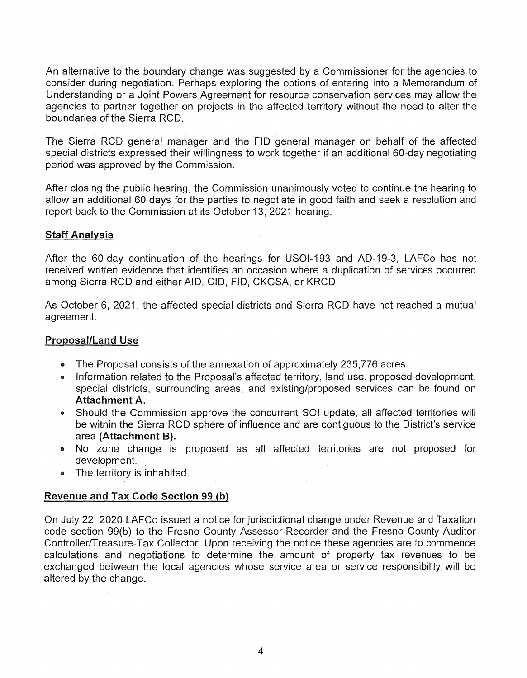An alternative to the boundary change was suggested by a Commissioner for the agencies to consider during negotiation. Perhaps exploring the options of entering into a Memorandum of Understanding or a Joint Powers Agreement for resource conservation services may allow the agencies to partner together on projects in the affected territory without the need to alter the boundaries of the Sierra RCD.

The Sierra RCD general manager and the FID general manager on behalf of the affected special districts expressed their willingness to work together if an additional 60-day negotiating period was approved by the Commission.

After closing the public hearing, the Commission unanimously voted to continue the hearing to allow an additional 60 days for the parties to negotiate in good faith and seek a resolution and report back to the Commission at its October 13, 2021 hearing.

### **Staff Analysis**

After the 60-day continuation of the hearings for USOl-193 and AD-19-3, LAFCo has not received written evidence that identifies an occasion where a duplication of services occurred among Sierra RCD and either AID, CID, FID, CKGSA, or KRCD.

As October 6, 2021, the affected special districts and Sierra RCD have not reached a mutual agreement.

#### Proposal/Land Use

- The Proposal consists of the annexation of approximately 235,776 acres.
- Information related to the Proposal's affected territory, land use, proposed development, special districts, surrounding areas, and existing/proposed services can be found on Attachment A.
- Should the Commission approve the concurrent SOI update, all affected territories will be within the Sierra RCD sphere of influence and are contiguous to the District's service area (Attachment B).
- No zone change is proposed as all affected territories are not proposed for development.
- The territory is inhabited.

### Revenue and Tax Code Section 99 (b)

On July 22, 2020 LAFCo issued a notice for jurisdictional change under Revenue and Taxation code section 99(b) to the Fresno County Assessor-Recorder and the Fresno County Auditor Controller/Treasure-Tax Collector. Upon receiving the notice these agencies are to commence calculations and negotiations to determine the amount of property tax revenues to be exchanged between the local agencies whose service area or service responsibility will be altered by the change.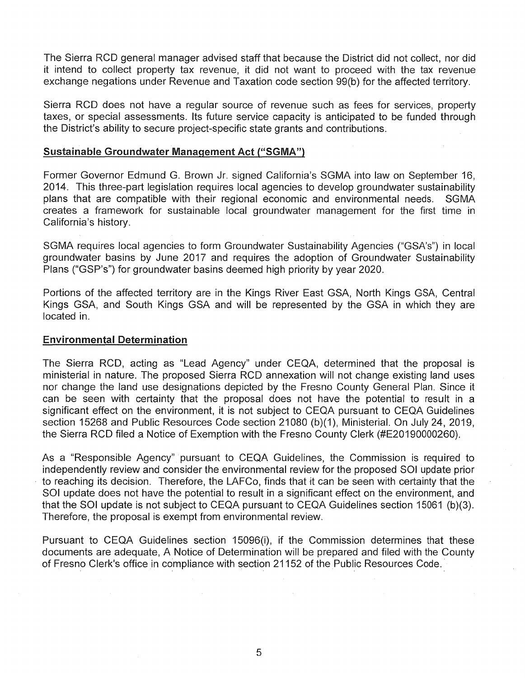The Sierra RCD general manager advised staff that because the District did not collect, nor did it intend to collect property tax revenue, it did not want to proceed with the tax revenue exchange negations under Revenue and Taxation code section 99(b) for the affected territory.

Sierra RCD does not have a regular source of revenue such as fees for services, property taxes, or special assessments. Its future service capacity is anticipated to be funded through the District's ability to secure project-specific state grants and contributions.

### Sustainable Groundwater Management Act ("SGMA")

Former Governor Edmund G. Brown Jr. signed California's SGMA into law on September 16, 2014. This three-part legislation requires local agencies to develop groundwater sustainability plans that are compatible with their regional economic and environmental needs. SGMA creates a framework for sustainable local groundwater management for the first time in California's history.

SGMA requires local agencies to form Groundwater Sustainability Agencies ("GSA's") in local groundwater basins by June 2017 and requires the adoption of Groundwater Sustainability Plans ("GSP's") for groundwater basins deemed high priority by year 2020.

Portions of the affected territory are in the Kings River East GSA, North Kings GSA, Central Kings GSA, and South Kings GSA and will be represented by the GSA in which they are located in.

#### Environmental Determination

The Sierra RCD, acting as "Lead Agency" under CEQA, determined that the proposal is ministerial in nature. The proposed Sierra RCD annexation will not change existing land uses nor change the land use designations depicted by the Fresno County General Plan. Since it can be seen with certainty that the proposal does not have the potential to result in a significant effect on the environment, it is not subject to CEQA pursuant to CEQA Guidelines section 15268 and Public Resources Code section 21080 (b)(1), Ministerial. On July 24, 2019, the Sierra RCD filed a Notice of Exemption with the Fresno County Clerk (#E20190000260).

As a "Responsible Agency" pursuant to CEQA Guidelines, the Commission is required to independently review and consider the environmental review for the proposed SOI update prior to reaching its decision. Therefore, the LAFCo, finds that it can be seen with certainty that the SOI update does not have the potential to result in a significant effect on the environment, and that the SOI update is not subject to CEQA pursuant to CEQA Guidelines section 15061 (b)(3). Therefore, the proposal is exempt from environmental review.

Pursuant to CEQA Guidelines section 15096(i), if the Commission determines that these documents are adequate, A Notice of Determination will be prepared and filed with the County of Fresno Clerk's office in compliance with section 21152 of the Public Resources Code.